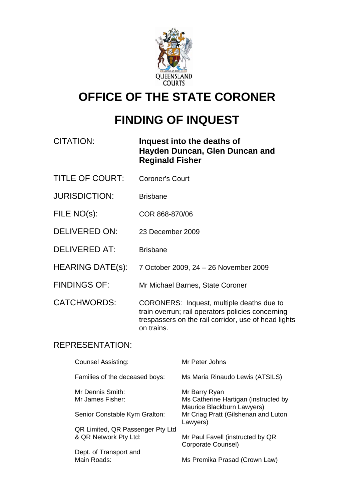

# **OFFICE OF THE STATE CORONER**

# **FINDING OF INQUEST**

| CITATION: | Inquest into the deaths of     |
|-----------|--------------------------------|
|           | Hayden Duncan, Glen Duncan and |
|           | <b>Reginald Fisher</b>         |

- TITLE OF COURT: Coroner's Court
- JURISDICTION: Brisbane
- FILE NO(s): COR 868-870/06
- DELIVERED ON: 23 December 2009
- DELIVERED AT: Brisbane
- HEARING DATE(s): 7 October 2009, 24 26 November 2009
- FINDINGS OF: Mr Michael Barnes, State Coroner

CATCHWORDS: CORONERS: Inquest, multiple deaths due to train overrun; rail operators policies concerning trespassers on the rail corridor, use of head lights on trains.

#### REPRESENTATION:

| Counsel Assisting:                   | Mr Peter Johns                                                                      |
|--------------------------------------|-------------------------------------------------------------------------------------|
| Families of the deceased boys:       | Ms Maria Rinaudo Lewis (ATSILS)                                                     |
| Mr Dennis Smith:<br>Mr James Fisher: | Mr Barry Ryan<br>Ms Catherine Hartigan (instructed by<br>Maurice Blackburn Lawyers) |
| Senior Constable Kym Gralton:        | Mr Criag Pratt (Gilshenan and Luton<br>Lawyers)                                     |
| QR Limited, QR Passenger Pty Ltd     |                                                                                     |
| & QR Network Pty Ltd:                | Mr Paul Favell (instructed by QR<br>Corporate Counsel)                              |
| Dept. of Transport and               |                                                                                     |
| Main Roads:                          | Ms Premika Prasad (Crown Law)                                                       |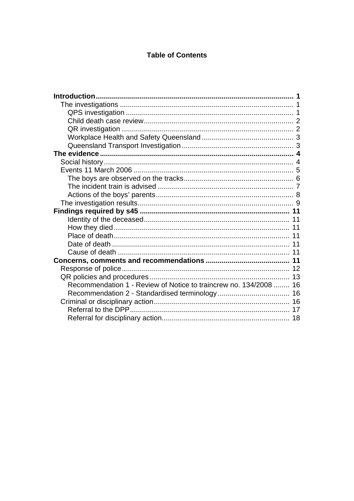#### **Table of Contents**

| Recommendation 1 - Review of Notice to traincrew no. 134/2008  16 |  |
|-------------------------------------------------------------------|--|
|                                                                   |  |
|                                                                   |  |
|                                                                   |  |
|                                                                   |  |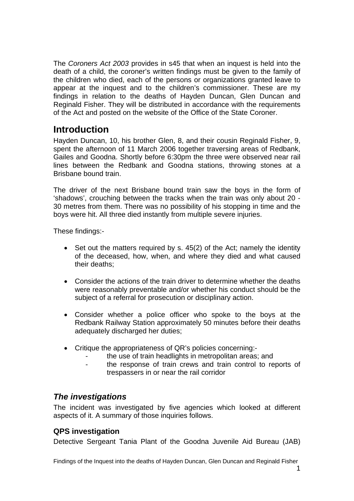<span id="page-2-0"></span>The *Coroners Act 2003* provides in s45 that when an inquest is held into the death of a child, the coroner's written findings must be given to the family of the children who died, each of the persons or organizations granted leave to appear at the inquest and to the children's commissioner. These are my findings in relation to the deaths of Hayden Duncan, Glen Duncan and Reginald Fisher. They will be distributed in accordance with the requirements of the Act and posted on the website of the Office of the State Coroner.

# **Introduction**

Hayden Duncan, 10, his brother Glen, 8, and their cousin Reginald Fisher, 9, spent the afternoon of 11 March 2006 together traversing areas of Redbank, Gailes and Goodna. Shortly before 6:30pm the three were observed near rail lines between the Redbank and Goodna stations, throwing stones at a Brisbane bound train.

The driver of the next Brisbane bound train saw the boys in the form of 'shadows', crouching between the tracks when the train was only about 20 - 30 metres from them. There was no possibility of his stopping in time and the boys were hit. All three died instantly from multiple severe injuries.

These findings:-

- Set out the matters required by s. 45(2) of the Act; namely the identity of the deceased, how, when, and where they died and what caused their deaths;
- Consider the actions of the train driver to determine whether the deaths were reasonably preventable and/or whether his conduct should be the subject of a referral for prosecution or disciplinary action.
- Consider whether a police officer who spoke to the boys at the Redbank Railway Station approximately 50 minutes before their deaths adequately discharged her duties;
- Critique the appropriateness of QR's policies concerning:
	- the use of train headlights in metropolitan areas; and
	- the response of train crews and train control to reports of trespassers in or near the rail corridor

# *The investigations*

The incident was investigated by five agencies which looked at different aspects of it. A summary of those inquiries follows.

## **QPS investigation**

Detective Sergeant Tania Plant of the Goodna Juvenile Aid Bureau (JAB)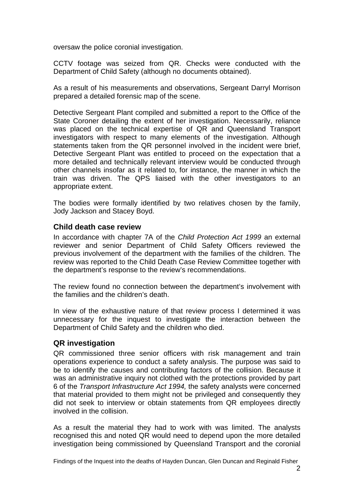<span id="page-3-0"></span>oversaw the police coronial investigation.

CCTV footage was seized from QR. Checks were conducted with the Department of Child Safety (although no documents obtained).

As a result of his measurements and observations, Sergeant Darryl Morrison prepared a detailed forensic map of the scene.

Detective Sergeant Plant compiled and submitted a report to the Office of the State Coroner detailing the extent of her investigation. Necessarily, reliance was placed on the technical expertise of QR and Queensland Transport investigators with respect to many elements of the investigation. Although statements taken from the QR personnel involved in the incident were brief, Detective Sergeant Plant was entitled to proceed on the expectation that a more detailed and technically relevant interview would be conducted through other channels insofar as it related to, for instance, the manner in which the train was driven. The QPS liaised with the other investigators to an appropriate extent.

The bodies were formally identified by two relatives chosen by the family, Jody Jackson and Stacey Boyd.

#### **Child death case review**

In accordance with chapter 7A of the *Child Protection Act 1999* an external reviewer and senior Department of Child Safety Officers reviewed the previous involvement of the department with the families of the children. The review was reported to the Child Death Case Review Committee together with the department's response to the review's recommendations.

The review found no connection between the department's involvement with the families and the children's death.

In view of the exhaustive nature of that review process I determined it was unnecessary for the inquest to investigate the interaction between the Department of Child Safety and the children who died.

#### **QR investigation**

QR commissioned three senior officers with risk management and train operations experience to conduct a safety analysis. The purpose was said to be to identify the causes and contributing factors of the collision. Because it was an administrative inquiry not clothed with the protections provided by part 6 of the *Transport Infrastructure Act 1994,* the safety analysts were concerned that material provided to them might not be privileged and consequently they did not seek to interview or obtain statements from QR employees directly involved in the collision.

As a result the material they had to work with was limited. The analysts recognised this and noted QR would need to depend upon the more detailed investigation being commissioned by Queensland Transport and the coronial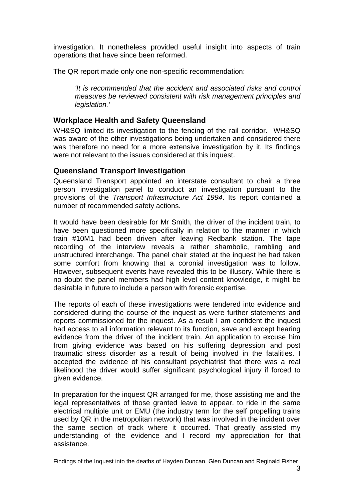<span id="page-4-0"></span>investigation. It nonetheless provided useful insight into aspects of train operations that have since been reformed.

The QR report made only one non-specific recommendation:

*'It is recommended that the accident and associated risks and control measures be reviewed consistent with risk management principles and legislation.'* 

#### **Workplace Health and Safety Queensland**

WH&SQ limited its investigation to the fencing of the rail corridor. WH&SQ was aware of the other investigations being undertaken and considered there was therefore no need for a more extensive investigation by it. Its findings were not relevant to the issues considered at this inquest.

#### **Queensland Transport Investigation**

Queensland Transport appointed an interstate consultant to chair a three person investigation panel to conduct an investigation pursuant to the provisions of the *Transport Infrastructure Act 1994*. Its report contained a number of recommended safety actions.

It would have been desirable for Mr Smith, the driver of the incident train, to have been questioned more specifically in relation to the manner in which train #10M1 had been driven after leaving Redbank station. The tape recording of the interview reveals a rather shambolic, rambling and unstructured interchange. The panel chair stated at the inquest he had taken some comfort from knowing that a coronial investigation was to follow. However, subsequent events have revealed this to be illusory. While there is no doubt the panel members had high level content knowledge, it might be desirable in future to include a person with forensic expertise.

The reports of each of these investigations were tendered into evidence and considered during the course of the inquest as were further statements and reports commissioned for the inquest. As a result I am confident the inquest had access to all information relevant to its function, save and except hearing evidence from the driver of the incident train. An application to excuse him from giving evidence was based on his suffering depression and post traumatic stress disorder as a result of being involved in the fatalities. I accepted the evidence of his consultant psychiatrist that there was a real likelihood the driver would suffer significant psychological injury if forced to given evidence.

In preparation for the inquest QR arranged for me, those assisting me and the legal representatives of those granted leave to appear, to ride in the same electrical multiple unit or EMU (the industry term for the self propelling trains used by QR in the metropolitan network) that was involved in the incident over the same section of track where it occurred. That greatly assisted my understanding of the evidence and I record my appreciation for that assistance.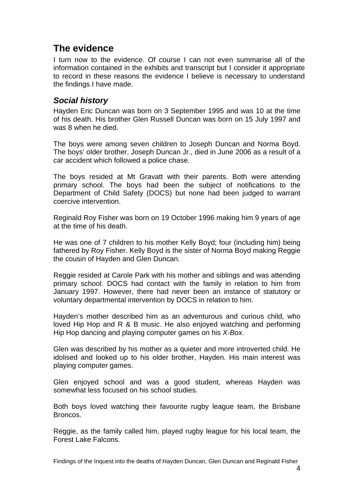# <span id="page-5-0"></span>**The evidence**

I turn now to the evidence. Of course I can not even summarise all of the information contained in the exhibits and transcript but I consider it appropriate to record in these reasons the evidence I believe is necessary to understand the findings I have made.

## *Social history*

Hayden Eric Duncan was born on 3 September 1995 and was 10 at the time of his death. His brother Glen Russell Duncan was born on 15 July 1997 and was 8 when he died.

The boys were among seven children to Joseph Duncan and Norma Boyd. The boys' older brother, Joseph Duncan Jr., died in June 2006 as a result of a car accident which followed a police chase.

The boys resided at Mt Gravatt with their parents. Both were attending primary school. The boys had been the subject of notifications to the Department of Child Safety (DOCS) but none had been judged to warrant coercive intervention.

Reginald Roy Fisher was born on 19 October 1996 making him 9 years of age at the time of his death.

He was one of 7 children to his mother Kelly Boyd; four (including him) being fathered by Roy Fisher. Kelly Boyd is the sister of Norma Boyd making Reggie the cousin of Hayden and Glen Duncan.

Reggie resided at Carole Park with his mother and siblings and was attending primary school. DOCS had contact with the family in relation to him from January 1997. However, there had never been an instance of statutory or voluntary departmental intervention by DOCS in relation to him.

Hayden's mother described him as an adventurous and curious child, who loved Hip Hop and R & B music. He also enjoyed watching and performing Hip Hop dancing and playing computer games on his *X-Box*.

Glen was described by his mother as a quieter and more introverted child. He idolised and looked up to his older brother, Hayden. His main interest was playing computer games.

Glen enjoyed school and was a good student, whereas Hayden was somewhat less focused on his school studies.

Both boys loved watching their favourite rugby league team, the Brisbane Broncos.

Reggie, as the family called him, played rugby league for his local team, the Forest Lake Falcons.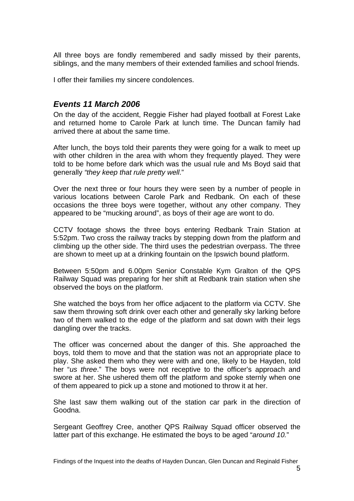<span id="page-6-0"></span>All three boys are fondly remembered and sadly missed by their parents, siblings, and the many members of their extended families and school friends.

I offer their families my sincere condolences.

## *Events 11 March 2006*

On the day of the accident, Reggie Fisher had played football at Forest Lake and returned home to Carole Park at lunch time. The Duncan family had arrived there at about the same time.

After lunch, the boys told their parents they were going for a walk to meet up with other children in the area with whom they frequently played. They were told to be home before dark which was the usual rule and Ms Boyd said that generally *"they keep that rule pretty well*."

Over the next three or four hours they were seen by a number of people in various locations between Carole Park and Redbank. On each of these occasions the three boys were together, without any other company. They appeared to be "mucking around", as boys of their age are wont to do.

CCTV footage shows the three boys entering Redbank Train Station at 5:52pm. Two cross the railway tracks by stepping down from the platform and climbing up the other side. The third uses the pedestrian overpass. The three are shown to meet up at a drinking fountain on the Ipswich bound platform.

Between 5:50pm and 6.00pm Senior Constable Kym Gralton of the QPS Railway Squad was preparing for her shift at Redbank train station when she observed the boys on the platform.

She watched the boys from her office adjacent to the platform via CCTV. She saw them throwing soft drink over each other and generally sky larking before two of them walked to the edge of the platform and sat down with their legs dangling over the tracks.

The officer was concerned about the danger of this. She approached the boys, told them to move and that the station was not an appropriate place to play. She asked them who they were with and one, likely to be Hayden, told her "*us three*." The boys were not receptive to the officer's approach and swore at her. She ushered them off the platform and spoke sternly when one of them appeared to pick up a stone and motioned to throw it at her.

She last saw them walking out of the station car park in the direction of Goodna.

Sergeant Geoffrey Cree, another QPS Railway Squad officer observed the latter part of this exchange. He estimated the boys to be aged "*around 10.*"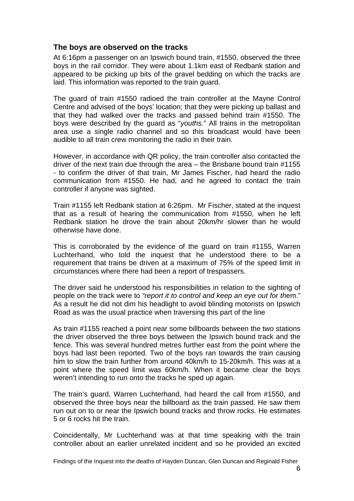#### <span id="page-7-0"></span>**The boys are observed on the tracks**

At 6:16pm a passenger on an Ipswich bound train, #1550, observed the three boys in the rail corridor. They were about 1.1km east of Redbank station and appeared to be picking up bits of the gravel bedding on which the tracks are laid. This information was reported to the train guard.

The guard of train #1550 radioed the train controller at the Mayne Control Centre and advised of the boys' location; that they were picking up ballast and that they had walked over the tracks and passed behind train #1550. The boys were described by the guard as "*youths.*" All trains in the metropolitan area use a single radio channel and so this broadcast would have been audible to all train crew monitoring the radio in their train.

However, in accordance with QR policy, the train controller also contacted the driver of the next train due through the area – the Brisbane bound train #1155 - to confirm the driver of that train, Mr James Fischer, had heard the radio communication from #1550. He had, and he agreed to contact the train controller if anyone was sighted.

Train #1155 left Redbank station at 6:26pm. Mr Fischer, stated at the inquest that as a result of hearing the communication from #1550, when he left Redbank station he drove the train about 20km/hr slower than he would otherwise have done.

This is corroborated by the evidence of the guard on train #1155, Warren Luchterhand, who told the inquest that he understood there to be a requirement that trains be driven at a maximum of 75% of the speed limit in circumstances where there had been a report of trespassers.

The driver said he understood his responsibilities in relation to the sighting of people on the track were to *"report it to control and keep an eye out for th*em." As a result he did not dim his headlight to avoid blinding motorists on Ipswich Road as was the usual practice when traversing this part of the line

As train #1155 reached a point near some billboards between the two stations the driver observed the three boys between the Ipswich bound track and the fence. This was several hundred metres further east from the point where the boys had last been reported. Two of the boys ran towards the train causing him to slow the train further from around 40km/h to 15-20km/h. This was at a point where the speed limit was 60km/h. When it became clear the boys weren't intending to run onto the tracks he sped up again.

The train's guard, Warren Luchterhand, had heard the call from #1550, and observed the three boys near the billboard as the train passed. He saw them run out on to or near the Ipswich bound tracks and throw rocks. He estimates 5 or 6 rocks hit the train.

Coincidentally, Mr Luchterhand was at that time speaking with the train controller about an earlier unrelated incident and so he provided an excited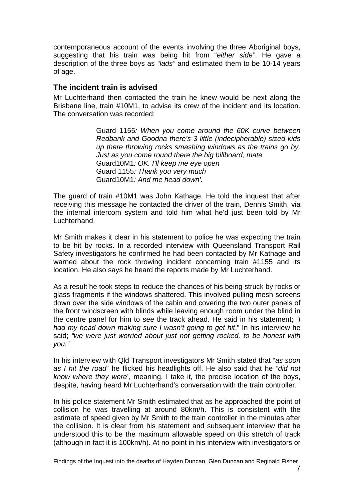<span id="page-8-0"></span>contemporaneous account of the events involving the three Aboriginal boys, suggesting that his train was being hit from "*either side"*. He gave a description of the three boys as *"lads"* and estimated them to be 10-14 years of age.

#### **The incident train is advised**

Mr Luchterhand then contacted the train he knew would be next along the Brisbane line, train #10M1, to advise its crew of the incident and its location. The conversation was recorded:

> Guard 1155*: When you come around the 60K curve between Redbank and Goodna there's 3 little (indecipherable) sized kids up there throwing rocks smashing windows as the trains go by. Just as you come round there the big billboard, mate*  Guard10M1*: OK. I'll keep me eye open*  Guard 1155*: Thank you very much*  Guard10M1*: And me head down'.*

The guard of train #10M1 was John Kathage. He told the inquest that after receiving this message he contacted the driver of the train, Dennis Smith, via the internal intercom system and told him what he'd just been told by Mr Luchterhand.

Mr Smith makes it clear in his statement to police he was expecting the train to be hit by rocks. In a recorded interview with Queensland Transport Rail Safety investigators he confirmed he had been contacted by Mr Kathage and warned about the rock throwing incident concerning train #1155 and its location. He also says he heard the reports made by Mr Luchterhand.

As a result he took steps to reduce the chances of his being struck by rocks or glass fragments if the windows shattered. This involved pulling mesh screens down over the side windows of the cabin and covering the two outer panels of the front windscreen with blinds while leaving enough room under the blind in the centre panel for him to see the track ahead. He said in his statement; *"I had my head down making sure I wasn't going to get hit*." In his interview he said; *"we were just worried about just not getting rocked, to be honest with you."* 

In his interview with Qld Transport investigators Mr Smith stated that "*as soon as I hit the road*" he flicked his headlights off. He also said that he *"did not know where they were*', meaning, I take it, the precise location of the boys, despite, having heard Mr Luchterhand's conversation with the train controller.

In his police statement Mr Smith estimated that as he approached the point of collision he was travelling at around 80km/h. This is consistent with the estimate of speed given by Mr Smith to the train controller in the minutes after the collision. It is clear from his statement and subsequent interview that he understood this to be the maximum allowable speed on this stretch of track (although in fact it is 100km/h). At no point in his interview with investigators or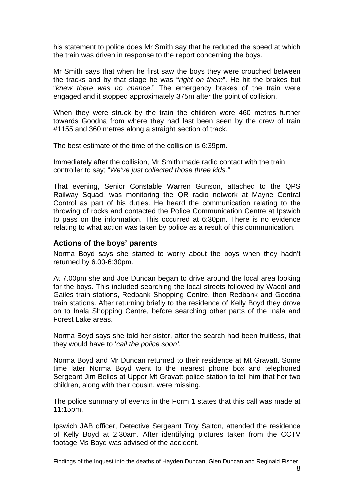<span id="page-9-0"></span>his statement to police does Mr Smith say that he reduced the speed at which the train was driven in response to the report concerning the boys.

Mr Smith says that when he first saw the boys they were crouched between the tracks and by that stage he was "*right on them*". He hit the brakes but "*knew there was no chance*." The emergency brakes of the train were engaged and it stopped approximately 375m after the point of collision.

When they were struck by the train the children were 460 metres further towards Goodna from where they had last been seen by the crew of train #1155 and 360 metres along a straight section of track.

The best estimate of the time of the collision is 6:39pm.

Immediately after the collision, Mr Smith made radio contact with the train controller to say; "*We've just collected those three kids."*

That evening, Senior Constable Warren Gunson, attached to the QPS Railway Squad, was monitoring the QR radio network at Mayne Central Control as part of his duties. He heard the communication relating to the throwing of rocks and contacted the Police Communication Centre at Ipswich to pass on the information. This occurred at 6:30pm. There is no evidence relating to what action was taken by police as a result of this communication.

#### **Actions of the boys' parents**

Norma Boyd says she started to worry about the boys when they hadn't returned by 6.00-6:30pm.

At 7.00pm she and Joe Duncan began to drive around the local area looking for the boys. This included searching the local streets followed by Wacol and Gailes train stations, Redbank Shopping Centre, then Redbank and Goodna train stations. After returning briefly to the residence of Kelly Boyd they drove on to Inala Shopping Centre, before searching other parts of the Inala and Forest Lake areas.

Norma Boyd says she told her sister, after the search had been fruitless, that they would have to '*call the police soon'*.

Norma Boyd and Mr Duncan returned to their residence at Mt Gravatt. Some time later Norma Boyd went to the nearest phone box and telephoned Sergeant Jim Bellos at Upper Mt Gravatt police station to tell him that her two children, along with their cousin, were missing.

The police summary of events in the Form 1 states that this call was made at 11:15pm.

Ipswich JAB officer, Detective Sergeant Troy Salton, attended the residence of Kelly Boyd at 2:30am. After identifying pictures taken from the CCTV footage Ms Boyd was advised of the accident.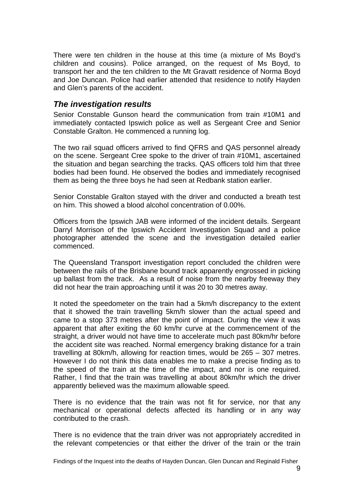<span id="page-10-0"></span>There were ten children in the house at this time (a mixture of Ms Boyd's children and cousins). Police arranged, on the request of Ms Boyd, to transport her and the ten children to the Mt Gravatt residence of Norma Boyd and Joe Duncan. Police had earlier attended that residence to notify Hayden and Glen's parents of the accident.

### *The investigation results*

Senior Constable Gunson heard the communication from train #10M1 and immediately contacted Ipswich police as well as Sergeant Cree and Senior Constable Gralton. He commenced a running log.

The two rail squad officers arrived to find QFRS and QAS personnel already on the scene. Sergeant Cree spoke to the driver of train #10M1, ascertained the situation and began searching the tracks. QAS officers told him that three bodies had been found. He observed the bodies and immediately recognised them as being the three boys he had seen at Redbank station earlier.

Senior Constable Gralton stayed with the driver and conducted a breath test on him. This showed a blood alcohol concentration of 0.00%.

Officers from the Ipswich JAB were informed of the incident details. Sergeant Darryl Morrison of the Ipswich Accident Investigation Squad and a police photographer attended the scene and the investigation detailed earlier commenced.

The Queensland Transport investigation report concluded the children were between the rails of the Brisbane bound track apparently engrossed in picking up ballast from the track. As a result of noise from the nearby freeway they did not hear the train approaching until it was 20 to 30 metres away.

It noted the speedometer on the train had a 5km/h discrepancy to the extent that it showed the train travelling 5km/h slower than the actual speed and came to a stop 373 metres after the point of impact. During the view it was apparent that after exiting the 60 km/hr curve at the commencement of the straight, a driver would not have time to accelerate much past 80km/hr before the accident site was reached. Normal emergency braking distance for a train travelling at 80km/h, allowing for reaction times, would be 265 – 307 metres. However I do not think this data enables me to make a precise finding as to the speed of the train at the time of the impact, and nor is one required. Rather, I find that the train was travelling at about 80km/hr which the driver apparently believed was the maximum allowable speed.

There is no evidence that the train was not fit for service, nor that any mechanical or operational defects affected its handling or in any way contributed to the crash.

There is no evidence that the train driver was not appropriately accredited in the relevant competencies or that either the driver of the train or the train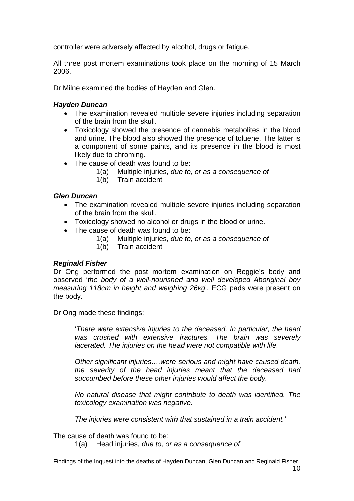controller were adversely affected by alcohol, drugs or fatigue.

All three post mortem examinations took place on the morning of 15 March 2006.

Dr Milne examined the bodies of Hayden and Glen.

#### *Hayden Duncan*

- The examination revealed multiple severe injuries including separation of the brain from the skull.
- Toxicology showed the presence of cannabis metabolites in the blood and urine. The blood also showed the presence of toluene. The latter is a component of some paints, and its presence in the blood is most likely due to chroming.
- The cause of death was found to be:
	- 1(a) Multiple injuries, *due to, or as a consequence of*
	- 1(b) Train accident

#### *Glen Duncan*

- The examination revealed multiple severe injuries including separation of the brain from the skull.
- Toxicology showed no alcohol or drugs in the blood or urine.
- The cause of death was found to be:
	- 1(a) Multiple injuries, *due to, or as a consequence of*
	- 1(b) Train accident

#### *Reginald Fisher*

Dr Ong performed the post mortem examination on Reggie's body and observed '*the body of a well-nourished and well developed Aboriginal boy measuring 118cm in height and weighing 26kg*'. ECG pads were present on the body.

Dr Ong made these findings:

'*There were extensive injuries to the deceased. In particular, the head was crushed with extensive fractures. The brain was severely lacerated. The injuries on the head were not compatible with life.* 

*Other significant injuries….were serious and might have caused death, the severity of the head injuries meant that the deceased had succumbed before these other injuries would affect the body.* 

*No natural disease that might contribute to death was identified. The toxicology examination was negative.* 

*The injuries were consistent with that sustained in a train accident.'* 

The cause of death was found to be:

1(a) Head injuries, *due to, or as a consequence of*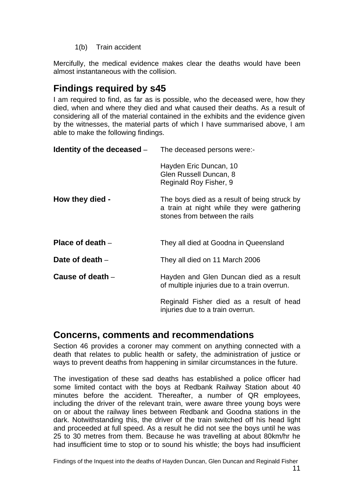1(b) Train accident

<span id="page-12-0"></span>Mercifully, the medical evidence makes clear the deaths would have been almost instantaneous with the collision.

# **Findings required by s45**

I am required to find, as far as is possible, who the deceased were, how they died, when and where they died and what caused their deaths. As a result of considering all of the material contained in the exhibits and the evidence given by the witnesses, the material parts of which I have summarised above, I am able to make the following findings.

| <b>Identity of the deceased</b> $-$ The deceased persons were:- |                                                                                                                             |
|-----------------------------------------------------------------|-----------------------------------------------------------------------------------------------------------------------------|
|                                                                 | Hayden Eric Duncan, 10<br>Glen Russell Duncan, 8<br>Reginald Roy Fisher, 9                                                  |
| How they died -                                                 | The boys died as a result of being struck by<br>a train at night while they were gathering<br>stones from between the rails |
| Place of death $-$                                              | They all died at Goodna in Queensland                                                                                       |
| Date of death $-$                                               | They all died on 11 March 2006                                                                                              |
| Cause of death $-$                                              | Hayden and Glen Duncan died as a result<br>of multiple injuries due to a train overrun.                                     |
|                                                                 | Reginald Fisher died as a result of head<br>injuries due to a train overrun.                                                |
|                                                                 |                                                                                                                             |

# **Concerns, comments and recommendations**

Section 46 provides a coroner may comment on anything connected with a death that relates to public health or safety, the administration of justice or ways to prevent deaths from happening in similar circumstances in the future.

The investigation of these sad deaths has established a police officer had some limited contact with the boys at Redbank Railway Station about 40 minutes before the accident. Thereafter, a number of QR employees, including the driver of the relevant train, were aware three young boys were on or about the railway lines between Redbank and Goodna stations in the dark. Notwithstanding this, the driver of the train switched off his head light and proceeded at full speed. As a result he did not see the boys until he was 25 to 30 metres from them. Because he was travelling at about 80km/hr he had insufficient time to stop or to sound his whistle; the boys had insufficient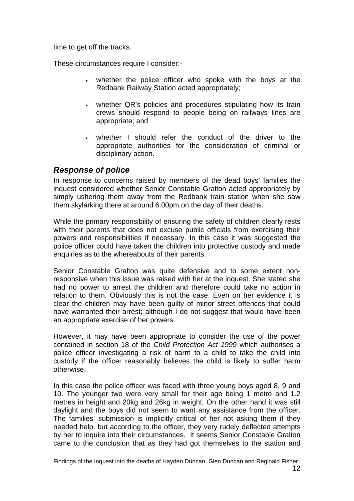<span id="page-13-0"></span>time to get off the tracks.

These circumstances require I consider:-

- whether the police officer who spoke with the boys at the Redbank Railway Station acted appropriately;
- whether QR's policies and procedures stipulating how its train crews should respond to people being on railways lines are appropriate; and
- whether I should refer the conduct of the driver to the appropriate authorities for the consideration of criminal or disciplinary action.

## *Response of police*

In response to concerns raised by members of the dead boys' families the inquest considered whether Senior Constable Gralton acted appropriately by simply ushering them away from the Redbank train station when she saw them skylarking there at around 6.00pm on the day of their deaths.

While the primary responsibility of ensuring the safety of children clearly rests with their parents that does not excuse public officials from exercising their powers and responsibilities if necessary. In this case it was suggested the police officer could have taken the children into protective custody and made enquiries as to the whereabouts of their parents.

Senior Constable Gralton was quite defensive and to some extent nonresponsive when this issue was raised with her at the inquest. She stated she had no power to arrest the children and therefore could take no action in relation to them. Obviously this is not the case. Even on her evidence it is clear the children may have been guilty of minor street offences that could have warranted their arrest; although I do not suggest that would have been an appropriate exercise of her powers.

However, it may have been appropriate to consider the use of the power contained in section 18 of the *Child Protection Act 1999* which authorises a police officer investigating a risk of harm to a child to take the child into custody if the officer reasonably believes the child is likely to suffer harm otherwise.

In this case the police officer was faced with three young boys aged 8, 9 and 10. The younger two were very small for their age being 1 metre and 1.2 metres in height and 20kg and 26kg in weight. On the other hand it was still daylight and the boys did not seem to want any assistance from the officer. The families' submission is implicitly critical of her not asking them if they needed help, but according to the officer, they very rudely deflected attempts by her to inquire into their circumstances. It seems Senior Constable Gralton came to the conclusion that as they had got themselves to the station and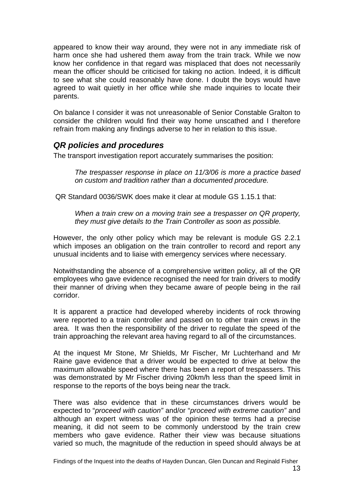<span id="page-14-0"></span>appeared to know their way around, they were not in any immediate risk of harm once she had ushered them away from the train track. While we now know her confidence in that regard was misplaced that does not necessarily mean the officer should be criticised for taking no action. Indeed, it is difficult to see what she could reasonably have done. I doubt the boys would have agreed to wait quietly in her office while she made inquiries to locate their parents.

On balance I consider it was not unreasonable of Senior Constable Gralton to consider the children would find their way home unscathed and I therefore refrain from making any findings adverse to her in relation to this issue.

### *QR policies and procedures*

The transport investigation report accurately summarises the position:

*The trespasser response in place on 11/3/06 is more a practice based on custom and tradition rather than a documented procedure.*

QR Standard 0036/SWK does make it clear at module GS 1.15.1 that:

*When a train crew on a moving train see a trespasser on QR property, they must give details to the Train Controller as soon as possible.* 

However, the only other policy which may be relevant is module GS 2.2.1 which imposes an obligation on the train controller to record and report any unusual incidents and to liaise with emergency services where necessary.

Notwithstanding the absence of a comprehensive written policy, all of the QR employees who gave evidence recognised the need for train drivers to modify their manner of driving when they became aware of people being in the rail corridor.

It is apparent a practice had developed whereby incidents of rock throwing were reported to a train controller and passed on to other train crews in the area. It was then the responsibility of the driver to regulate the speed of the train approaching the relevant area having regard to all of the circumstances.

At the inquest Mr Stone, Mr Shields, Mr Fischer, Mr Luchterhand and Mr Raine gave evidence that a driver would be expected to drive at below the maximum allowable speed where there has been a report of trespassers. This was demonstrated by Mr Fischer driving 20km/h less than the speed limit in response to the reports of the boys being near the track.

There was also evidence that in these circumstances drivers would be expected to "*proceed with caution"* and/or "*proceed with extreme caution"* and although an expert witness was of the opinion these terms had a precise meaning, it did not seem to be commonly understood by the train crew members who gave evidence. Rather their view was because situations varied so much, the magnitude of the reduction in speed should always be at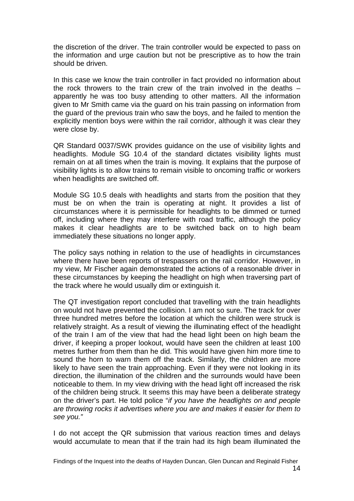the discretion of the driver. The train controller would be expected to pass on the information and urge caution but not be prescriptive as to how the train should be driven.

In this case we know the train controller in fact provided no information about the rock throwers to the train crew of the train involved in the deaths  $$ apparently he was too busy attending to other matters. All the information given to Mr Smith came via the guard on his train passing on information from the guard of the previous train who saw the boys, and he failed to mention the explicitly mention boys were within the rail corridor, although it was clear they were close by.

QR Standard 0037/SWK provides guidance on the use of visibility lights and headlights. Module SG 10.4 of the standard dictates visibility lights must remain on at all times when the train is moving. It explains that the purpose of visibility lights is to allow trains to remain visible to oncoming traffic or workers when headlights are switched off.

Module SG 10.5 deals with headlights and starts from the position that they must be on when the train is operating at night. It provides a list of circumstances where it is permissible for headlights to be dimmed or turned off, including where they may interfere with road traffic, although the policy makes it clear headlights are to be switched back on to high beam immediately these situations no longer apply.

The policy says nothing in relation to the use of headlights in circumstances where there have been reports of trespassers on the rail corridor. However, in my view, Mr Fischer again demonstrated the actions of a reasonable driver in these circumstances by keeping the headlight on high when traversing part of the track where he would usually dim or extinguish it.

The QT investigation report concluded that travelling with the train headlights on would not have prevented the collision. I am not so sure. The track for over three hundred metres before the location at which the children were struck is relatively straight. As a result of viewing the illuminating effect of the headlight of the train I am of the view that had the head light been on high beam the driver, if keeping a proper lookout, would have seen the children at least 100 metres further from them than he did. This would have given him more time to sound the horn to warn them off the track. Similarly, the children are more likely to have seen the train approaching. Even if they were not looking in its direction, the illumination of the children and the surrounds would have been noticeable to them. In my view driving with the head light off increased the risk of the children being struck. It seems this may have been a deliberate strategy on the driver's part. He told police "*if you have the headlights on and people are throwing rocks it advertises where you are and makes it easier for them to see you."* 

I do not accept the QR submission that various reaction times and delays would accumulate to mean that if the train had its high beam illuminated the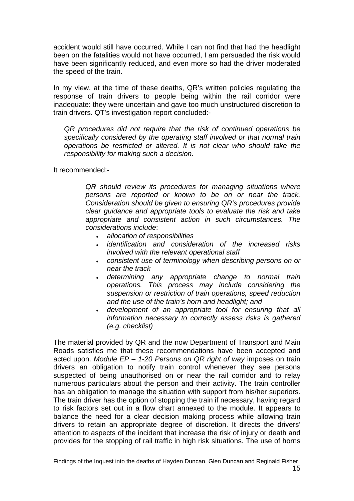accident would still have occurred. While I can not find that had the headlight been on the fatalities would not have occurred, I am persuaded the risk would have been significantly reduced, and even more so had the driver moderated the speed of the train.

In my view, at the time of these deaths, QR's written policies regulating the response of train drivers to people being within the rail corridor were inadequate: they were uncertain and gave too much unstructured discretion to train drivers. QT's investigation report concluded:-

*QR procedures did not require that the risk of continued operations be specifically considered by the operating staff involved or that normal train operations be restricted or altered. It is not clear who should take the responsibility for making such a decision.* 

It recommended:-

*QR should review its procedures for managing situations where persons are reported or known to be on or near the track. Consideration should be given to ensuring QR's procedures provide clear guidance and appropriate tools to evaluate the risk and take appropriate and consistent action in such circumstances. The considerations include*:

- *allocation of responsibilities*
- *identification and consideration of the increased risks involved with the relevant operational staff*
- *consistent use of terminology when describing persons on or near the track*
- *determining any appropriate change to normal train operations. This process may include considering the suspension or restriction of train operations, speed reduction and the use of the train's horn and headlight; and*
- *development of an appropriate tool for ensuring that all information necessary to correctly assess risks is gathered (e.g. checklist)*

The material provided by QR and the now Department of Transport and Main Roads satisfies me that these recommendations have been accepted and acted upon. *Module EP – 1-20 Persons on QR right of way* imposes on train drivers an obligation to notify train control whenever they see persons suspected of being unauthorised on or near the rail corridor and to relay numerous particulars about the person and their activity. The train controller has an obligation to manage the situation with support from his/her superiors. The train driver has the option of stopping the train if necessary, having regard to risk factors set out in a flow chart annexed to the module. It appears to balance the need for a clear decision making process while allowing train drivers to retain an appropriate degree of discretion. It directs the drivers' attention to aspects of the incident that increase the risk of injury or death and provides for the stopping of rail traffic in high risk situations. The use of horns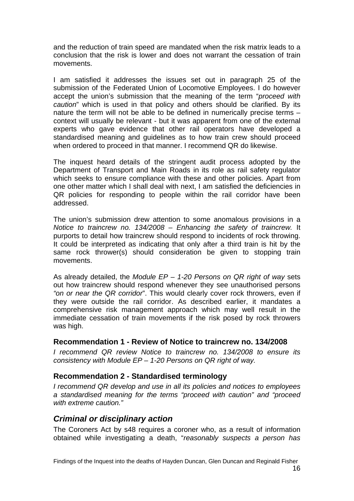<span id="page-17-0"></span>and the reduction of train speed are mandated when the risk matrix leads to a conclusion that the risk is lower and does not warrant the cessation of train movements.

I am satisfied it addresses the issues set out in paragraph 25 of the submission of the Federated Union of Locomotive Employees. I do however accept the union's submission that the meaning of the term "*proceed with caution*" which is used in that policy and others should be clarified. By its nature the term will not be able to be defined in numerically precise terms – context will usually be relevant - but it was apparent from one of the external experts who gave evidence that other rail operators have developed a standardised meaning and guidelines as to how train crew should proceed when ordered to proceed in that manner. I recommend QR do likewise.

The inquest heard details of the stringent audit process adopted by the Department of Transport and Main Roads in its role as rail safety regulator which seeks to ensure compliance with these and other policies. Apart from one other matter which I shall deal with next, I am satisfied the deficiencies in QR policies for responding to people within the rail corridor have been addressed.

The union's submission drew attention to some anomalous provisions in a *Notice to traincrew no. 134/2008* – *Enhancing the safety of traincrew.* It purports to detail how traincrew should respond to incidents of rock throwing. It could be interpreted as indicating that only after a third train is hit by the same rock thrower(s) should consideration be given to stopping train movements.

As already detailed, the *Module EP – 1-20 Persons on QR right of way* sets out how traincrew should respond whenever they see unauthorised persons *"on or near the QR corridor*". This would clearly cover rock throwers, even if they were outside the rail corridor. As described earlier, it mandates a comprehensive risk management approach which may well result in the immediate cessation of train movements if the risk posed by rock throwers was high.

#### **Recommendation 1 - Review of Notice to traincrew no. 134/2008**

*I recommend QR review Notice to traincrew no. 134/2008 to ensure its consistency with Module EP – 1-20 Persons on QR right of way.* 

#### **Recommendation 2 - Standardised terminology**

*I recommend QR develop and use in all its policies and notices to employees a standardised meaning for the terms "proceed with caution" and "proceed with extreme caution."*

#### *Criminal or disciplinary action*

The Coroners Act by s48 requires a coroner who, as a result of information obtained while investigating a death, "*reasonably suspects a person has*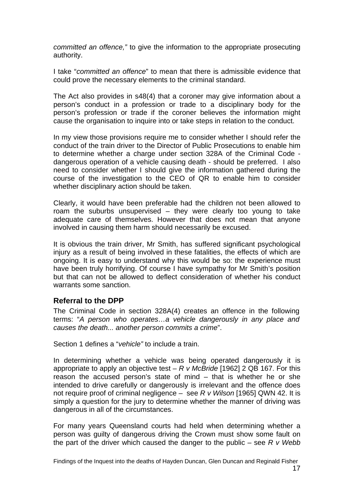<span id="page-18-0"></span>*committed an offence,"* to give the information to the appropriate prosecuting authority.

I take "*committed an offence*" to mean that there is admissible evidence that could prove the necessary elements to the criminal standard.

The Act also provides in s48(4) that a coroner may give information about a person's conduct in a profession or trade to a disciplinary body for the person's profession or trade if the coroner believes the information might cause the organisation to inquire into or take steps in relation to the conduct.

In my view those provisions require me to consider whether I should refer the conduct of the train driver to the Director of Public Prosecutions to enable him to determine whether a charge under section 328A of the Criminal Code dangerous operation of a vehicle causing death - should be preferred. I also need to consider whether I should give the information gathered during the course of the investigation to the CEO of QR to enable him to consider whether disciplinary action should be taken.

Clearly, it would have been preferable had the children not been allowed to roam the suburbs unsupervised – they were clearly too young to take adequate care of themselves. However that does not mean that anyone involved in causing them harm should necessarily be excused.

It is obvious the train driver, Mr Smith, has suffered significant psychological injury as a result of being involved in these fatalities, the effects of which are ongoing. It is easy to understand why this would be so: the experience must have been truly horrifying. Of course I have sympathy for Mr Smith's position but that can not be allowed to deflect consideration of whether his conduct warrants some sanction.

#### **Referral to the DPP**

The Criminal Code in section 328A(4) creates an offence in the following terms: "*A person who operates…a vehicle dangerously in any place and causes the death... another person commits a crime*".

Section 1 defines a "*vehicle"* to include a train.

In determining whether a vehicle was being operated dangerously it is appropriate to apply an objective test – *R v McBride* [1962] 2 QB 167. For this reason the accused person's state of mind – that is whether he or she intended to drive carefully or dangerously is irrelevant and the offence does not require proof of criminal negligence – see *R v Wilson* [1965] QWN 42. It is simply a question for the jury to determine whether the manner of driving was dangerous in all of the circumstances.

For many years Queensland courts had held when determining whether a person was guilty of dangerous driving the Crown must show some fault on the part of the driver which caused the danger to the public – see *R v Webb*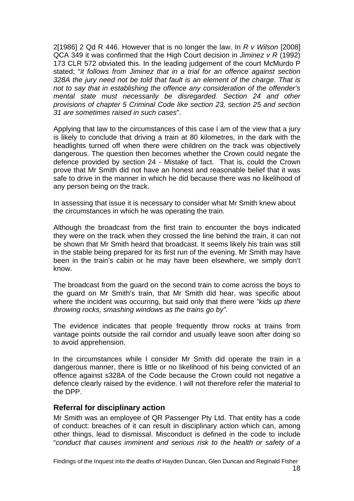<span id="page-19-0"></span>2[1986] 2 Qd R 446. However that is no longer the law. In *R v Wilson* [2008] QCA 349 it was confirmed that the High Court decision in *Jiminez v R* (1992) 173 CLR 572 obviated this. In the leading judgement of the court McMurdo P stated; "*it follows from Jiminez that in a trial for an offence against section 328A the jury need not be told that fault is an element of the charge. That is not to say that in establishing the offence any consideration of the offender's mental state must necessarily be disregarded. Section 24 and other provisions of chapter 5 Criminal Code like section 23, section 25 and section 31 are sometimes raised in such cases*".

Applying that law to the circumstances of this case I am of the view that a jury is likely to conclude that driving a train at 80 kilometres, in the dark with the headlights turned off when there were children on the track was objectively dangerous. The question then becomes whether the Crown could negate the defence provided by section 24 - Mistake of fact. That is, could the Crown prove that Mr Smith did not have an honest and reasonable belief that it was safe to drive in the manner in which he did because there was no likelihood of any person being on the track.

In assessing that issue it is necessary to consider what Mr Smith knew about the circumstances in which he was operating the train.

Although the broadcast from the first train to encounter the boys indicated they were on the track when they crossed the line behind the train, it can not be shown that Mr Smith heard that broadcast. It seems likely his train was still in the stable being prepared for its first run of the evening. Mr Smith may have been in the train's cabin or he may have been elsewhere, we simply don't know.

The broadcast from the guard on the second train to come across the boys to the guard on Mr Smith's train, that Mr Smith did hear, was specific about where the incident was occurring, but said only that there were *"kids up there throwing rocks, smashing windows as the trains go by".* 

The evidence indicates that people frequently throw rocks at trains from vantage points outside the rail corridor and usually leave soon after doing so to avoid apprehension.

In the circumstances while I consider Mr Smith did operate the train in a dangerous manner, there is little or no likelihood of his being convicted of an offence against s328A of the Code because the Crown could not negative a defence clearly raised by the evidence. I will not therefore refer the material to the DPP.

#### **Referral for disciplinary action**

Mr Smith was an employee of QR Passenger Pty Ltd. That entity has a code of conduct: breaches of it can result in disciplinary action which can, among other things, lead to dismissal. Misconduct is defined in the code to include "*conduct that causes imminent and serious risk to the health or safety of a*